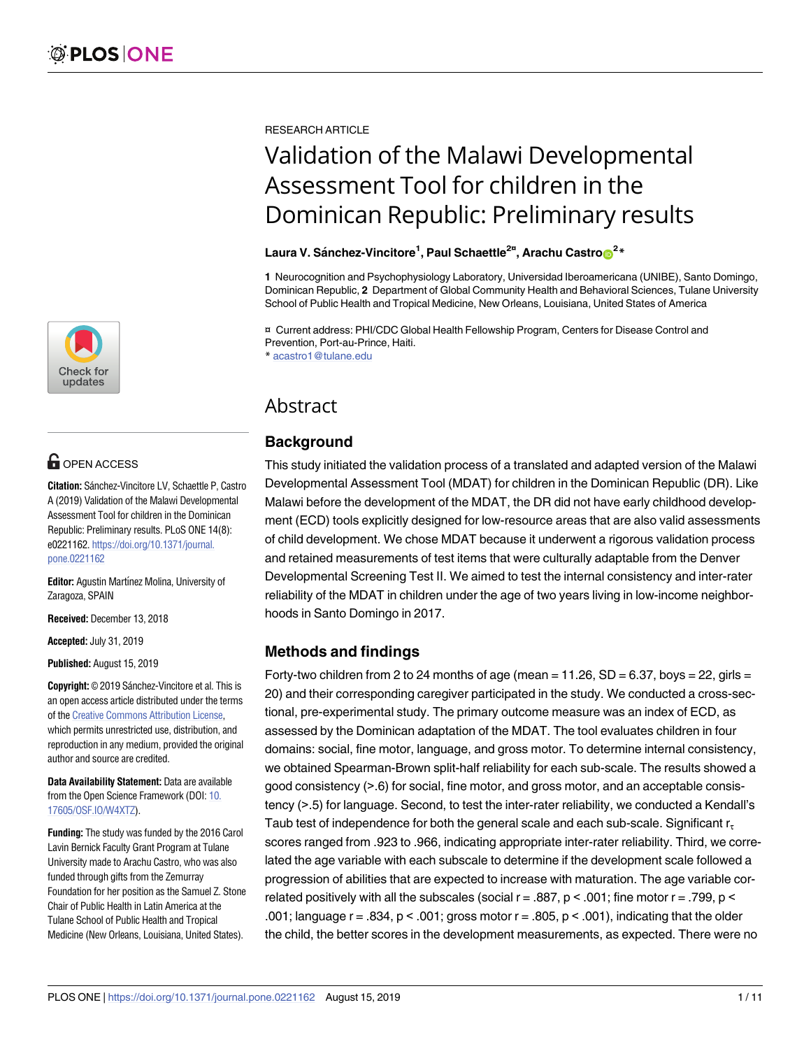

# **OPEN ACCESS**

**Citation:** Sánchez-Vincitore LV, Schaettle P, Castro A (2019) Validation of the Malawi Developmental Assessment Tool for children in the Dominican Republic: Preliminary results. PLoS ONE 14(8): e0221162. [https://doi.org/10.1371/journal.](https://doi.org/10.1371/journal.pone.0221162) [pone.0221162](https://doi.org/10.1371/journal.pone.0221162)

**Editor:** Agustin Martínez Molina, University of Zaragoza, SPAIN

**Received:** December 13, 2018

**Accepted:** July 31, 2019

**Published:** August 15, 2019

**Copyright:** © 2019 Sánchez-Vincitore et al. This is an open access article distributed under the terms of the Creative [Commons](http://creativecommons.org/licenses/by/4.0/) Attribution License, which permits unrestricted use, distribution, and reproduction in any medium, provided the original author and source are credited.

**Data Availability Statement:** Data are available from the Open Science Framework (DOI: [10.](https://doi.org/10.17605/OSF.IO/W4XTZ) [17605/OSF.IO/W4XTZ\)](https://doi.org/10.17605/OSF.IO/W4XTZ).

**Funding:** The study was funded by the 2016 Carol Lavin Bernick Faculty Grant Program at Tulane University made to Arachu Castro, who was also funded through gifts from the Zemurray Foundation for her position as the Samuel Z. Stone Chair of Public Health in Latin America at the Tulane School of Public Health and Tropical Medicine (New Orleans, Louisiana, United States).

RESEARCH ARTICLE

# Validation of the Malawi Developmental Assessment Tool for children in the Dominican Republic: Preliminary results

# $L$ aura V. Sánchez-Vincitore<sup>1</sup>, Paul Schaettle<sup>2¤</sup>, Arachu Castro $\mathbf{O}^{2\,*}$

**1** Neurocognition and Psychophysiology Laboratory, Universidad Iberoamericana (UNIBE), Santo Domingo, Dominican Republic, **2** Department of Global Community Health and Behavioral Sciences, Tulane University School of Public Health and Tropical Medicine, New Orleans, Louisiana, United States of America

¤ Current address: PHI/CDC Global Health Fellowship Program, Centers for Disease Control and Prevention, Port-au-Prince, Haiti.

\* acastro1@tulane.edu

# Abstract

# **Background**

This study initiated the validation process of a translated and adapted version of the Malawi Developmental Assessment Tool (MDAT) for children in the Dominican Republic (DR). Like Malawi before the development of the MDAT, the DR did not have early childhood development (ECD) tools explicitly designed for low-resource areas that are also valid assessments of child development. We chose MDAT because it underwent a rigorous validation process and retained measurements of test items that were culturally adaptable from the Denver Developmental Screening Test II. We aimed to test the internal consistency and inter-rater reliability of the MDAT in children under the age of two years living in low-income neighborhoods in Santo Domingo in 2017.

# **Methods and findings**

Forty-two children from 2 to 24 months of age (mean  $= 11.26$ , SD  $= 6.37$ , boys  $= 22$ , girls  $=$ 20) and their corresponding caregiver participated in the study. We conducted a cross-sectional, pre-experimental study. The primary outcome measure was an index of ECD, as assessed by the Dominican adaptation of the MDAT. The tool evaluates children in four domains: social, fine motor, language, and gross motor. To determine internal consistency, we obtained Spearman-Brown split-half reliability for each sub-scale. The results showed a good consistency (>.6) for social, fine motor, and gross motor, and an acceptable consistency (>.5) for language. Second, to test the inter-rater reliability, we conducted a Kendall's Taub test of independence for both the general scale and each sub-scale. Significant  $r_{\tau}$ scores ranged from .923 to .966, indicating appropriate inter-rater reliability. Third, we correlated the age variable with each subscale to determine if the development scale followed a progression of abilities that are expected to increase with maturation. The age variable correlated positively with all the subscales (social  $r = .887$ ,  $p < .001$ ; fine motor  $r = .799$ ,  $p <$ .001; language  $r = .834$ ,  $p < .001$ ; gross motor  $r = .805$ ,  $p < .001$ ), indicating that the older the child, the better scores in the development measurements, as expected. There were no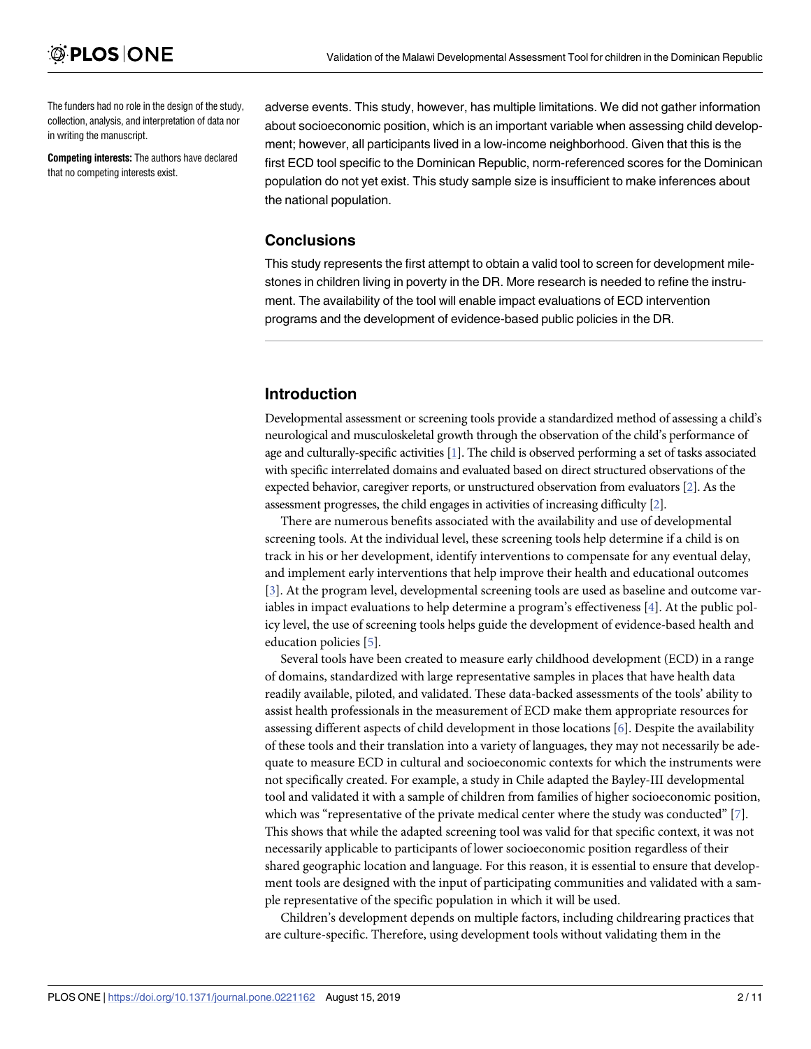<span id="page-1-0"></span>The funders had no role in the design of the study, collection, analysis, and interpretation of data nor in writing the manuscript.

**Competing interests:** The authors have declared that no competing interests exist.

adverse events. This study, however, has multiple limitations. We did not gather information about socioeconomic position, which is an important variable when assessing child development; however, all participants lived in a low-income neighborhood. Given that this is the first ECD tool specific to the Dominican Republic, norm-referenced scores for the Dominican population do not yet exist. This study sample size is insufficient to make inferences about the national population.

# **Conclusions**

This study represents the first attempt to obtain a valid tool to screen for development milestones in children living in poverty in the DR. More research is needed to refine the instrument. The availability of the tool will enable impact evaluations of ECD intervention programs and the development of evidence-based public policies in the DR.

# **Introduction**

Developmental assessment or screening tools provide a standardized method of assessing a child's neurological and musculoskeletal growth through the observation of the child's performance of age and culturally-specific activities [[1](#page-9-0)]. The child is observed performing a set of tasks associated with specific interrelated domains and evaluated based on direct structured observations of the expected behavior, caregiver reports, or unstructured observation from evaluators [[2](#page-9-0)]. As the assessment progresses, the child engages in activities of increasing difficulty [[2](#page-9-0)].

There are numerous benefits associated with the availability and use of developmental screening tools. At the individual level, these screening tools help determine if a child is on track in his or her development, identify interventions to compensate for any eventual delay, and implement early interventions that help improve their health and educational outcomes [\[3](#page-9-0)]. At the program level, developmental screening tools are used as baseline and outcome variables in impact evaluations to help determine a program's effectiveness [[4](#page-9-0)]. At the public policy level, the use of screening tools helps guide the development of evidence-based health and education policies [[5](#page-9-0)].

Several tools have been created to measure early childhood development (ECD) in a range of domains, standardized with large representative samples in places that have health data readily available, piloted, and validated. These data-backed assessments of the tools' ability to assist health professionals in the measurement of ECD make them appropriate resources for assessing different aspects of child development in those locations [[6](#page-9-0)]. Despite the availability of these tools and their translation into a variety of languages, they may not necessarily be adequate to measure ECD in cultural and socioeconomic contexts for which the instruments were not specifically created. For example, a study in Chile adapted the Bayley-III developmental tool and validated it with a sample of children from families of higher socioeconomic position, which was "representative of the private medical center where the study was conducted" [[7\]](#page-9-0). This shows that while the adapted screening tool was valid for that specific context, it was not necessarily applicable to participants of lower socioeconomic position regardless of their shared geographic location and language. For this reason, it is essential to ensure that development tools are designed with the input of participating communities and validated with a sample representative of the specific population in which it will be used.

Children's development depends on multiple factors, including childrearing practices that are culture-specific. Therefore, using development tools without validating them in the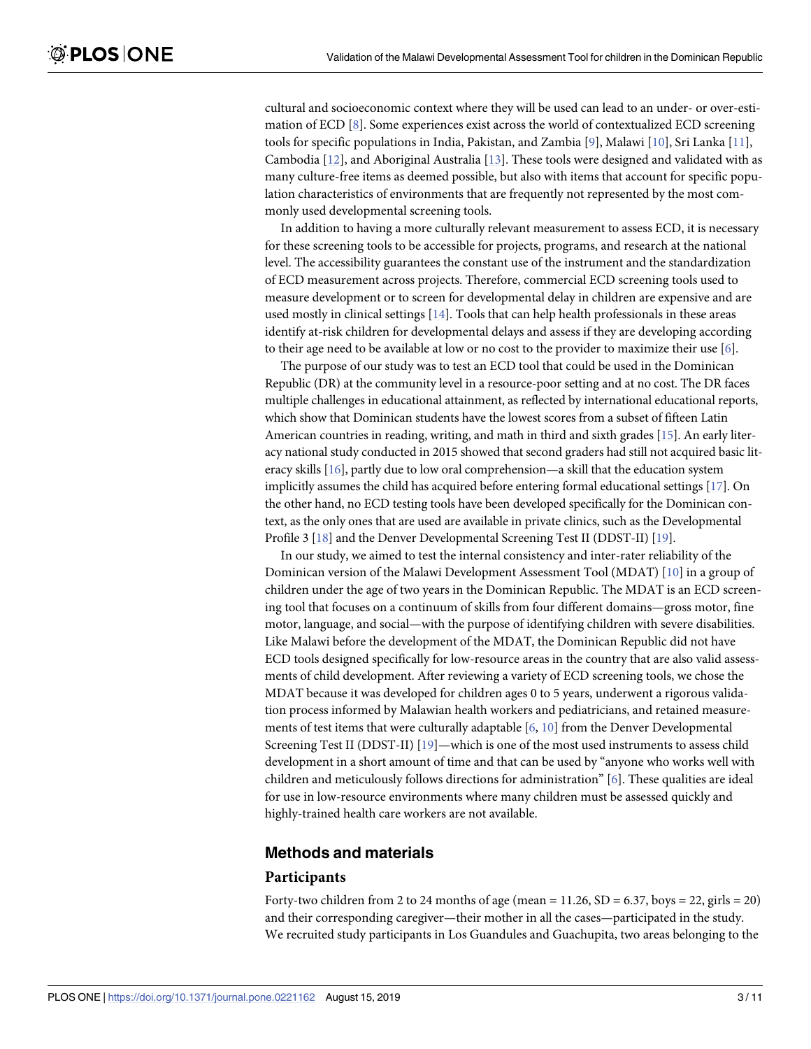<span id="page-2-0"></span>cultural and socioeconomic context where they will be used can lead to an under- or over-estimation of ECD [\[8](#page-9-0)]. Some experiences exist across the world of contextualized ECD screening tools for specific populations in India, Pakistan, and Zambia [[9](#page-9-0)], Malawi [\[10\]](#page-9-0), Sri Lanka [\[11\]](#page-9-0), Cambodia [\[12\]](#page-9-0), and Aboriginal Australia [[13](#page-9-0)]. These tools were designed and validated with as many culture-free items as deemed possible, but also with items that account for specific population characteristics of environments that are frequently not represented by the most commonly used developmental screening tools.

In addition to having a more culturally relevant measurement to assess ECD, it is necessary for these screening tools to be accessible for projects, programs, and research at the national level. The accessibility guarantees the constant use of the instrument and the standardization of ECD measurement across projects. Therefore, commercial ECD screening tools used to measure development or to screen for developmental delay in children are expensive and are used mostly in clinical settings [[14](#page-9-0)]. Tools that can help health professionals in these areas identify at-risk children for developmental delays and assess if they are developing according to their age need to be available at low or no cost to the provider to maximize their use [\[6](#page-9-0)].

The purpose of our study was to test an ECD tool that could be used in the Dominican Republic (DR) at the community level in a resource-poor setting and at no cost. The DR faces multiple challenges in educational attainment, as reflected by international educational reports, which show that Dominican students have the lowest scores from a subset of fifteen Latin American countries in reading, writing, and math in third and sixth grades [\[15\]](#page-10-0). An early literacy national study conducted in 2015 showed that second graders had still not acquired basic literacy skills [\[16](#page-10-0)], partly due to low oral comprehension—a skill that the education system implicitly assumes the child has acquired before entering formal educational settings [\[17\]](#page-10-0). On the other hand, no ECD testing tools have been developed specifically for the Dominican context, as the only ones that are used are available in private clinics, such as the Developmental Profile 3 [[18\]](#page-10-0) and the Denver Developmental Screening Test II (DDST-II) [\[19\]](#page-10-0).

In our study, we aimed to test the internal consistency and inter-rater reliability of the Dominican version of the Malawi Development Assessment Tool (MDAT) [\[10\]](#page-9-0) in a group of children under the age of two years in the Dominican Republic. The MDAT is an ECD screening tool that focuses on a continuum of skills from four different domains—gross motor, fine motor, language, and social—with the purpose of identifying children with severe disabilities. Like Malawi before the development of the MDAT, the Dominican Republic did not have ECD tools designed specifically for low-resource areas in the country that are also valid assessments of child development. After reviewing a variety of ECD screening tools, we chose the MDAT because it was developed for children ages 0 to 5 years, underwent a rigorous validation process informed by Malawian health workers and pediatricians, and retained measurements of test items that were culturally adaptable [[6](#page-9-0), [10](#page-9-0)] from the Denver Developmental Screening Test II (DDST-II) [\[19\]](#page-10-0)—which is one of the most used instruments to assess child development in a short amount of time and that can be used by "anyone who works well with children and meticulously follows directions for administration" [[6](#page-9-0)]. These qualities are ideal for use in low-resource environments where many children must be assessed quickly and highly-trained health care workers are not available.

#### **Methods and materials**

#### **Participants**

Forty-two children from 2 to 24 months of age (mean  $= 11.26$ , SD  $= 6.37$ , boys  $= 22$ , girls  $= 20$ ) and their corresponding caregiver—their mother in all the cases—participated in the study. We recruited study participants in Los Guandules and Guachupita, two areas belonging to the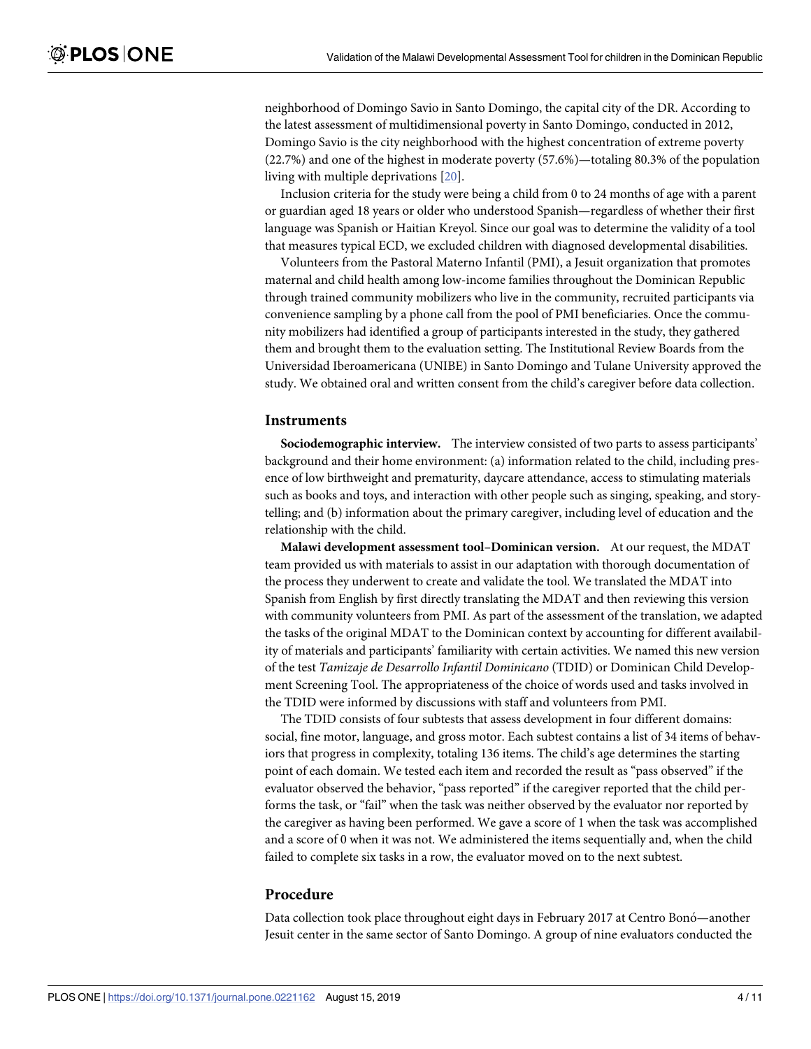<span id="page-3-0"></span>neighborhood of Domingo Savio in Santo Domingo, the capital city of the DR. According to the latest assessment of multidimensional poverty in Santo Domingo, conducted in 2012, Domingo Savio is the city neighborhood with the highest concentration of extreme poverty (22.7%) and one of the highest in moderate poverty (57.6%)—totaling 80.3% of the population living with multiple deprivations [[20](#page-10-0)].

Inclusion criteria for the study were being a child from 0 to 24 months of age with a parent or guardian aged 18 years or older who understood Spanish—regardless of whether their first language was Spanish or Haitian Kreyol. Since our goal was to determine the validity of a tool that measures typical ECD, we excluded children with diagnosed developmental disabilities.

Volunteers from the Pastoral Materno Infantil (PMI), a Jesuit organization that promotes maternal and child health among low-income families throughout the Dominican Republic through trained community mobilizers who live in the community, recruited participants via convenience sampling by a phone call from the pool of PMI beneficiaries. Once the community mobilizers had identified a group of participants interested in the study, they gathered them and brought them to the evaluation setting. The Institutional Review Boards from the Universidad Iberoamericana (UNIBE) in Santo Domingo and Tulane University approved the study. We obtained oral and written consent from the child's caregiver before data collection.

#### **Instruments**

**Sociodemographic interview.** The interview consisted of two parts to assess participants' background and their home environment: (a) information related to the child, including presence of low birthweight and prematurity, daycare attendance, access to stimulating materials such as books and toys, and interaction with other people such as singing, speaking, and storytelling; and (b) information about the primary caregiver, including level of education and the relationship with the child.

**Malawi development assessment tool–Dominican version.** At our request, the MDAT team provided us with materials to assist in our adaptation with thorough documentation of the process they underwent to create and validate the tool. We translated the MDAT into Spanish from English by first directly translating the MDAT and then reviewing this version with community volunteers from PMI. As part of the assessment of the translation, we adapted the tasks of the original MDAT to the Dominican context by accounting for different availability of materials and participants' familiarity with certain activities. We named this new version of the test *Tamizaje de Desarrollo Infantil Dominicano* (TDID) or Dominican Child Development Screening Tool. The appropriateness of the choice of words used and tasks involved in the TDID were informed by discussions with staff and volunteers from PMI.

The TDID consists of four subtests that assess development in four different domains: social, fine motor, language, and gross motor. Each subtest contains a list of 34 items of behaviors that progress in complexity, totaling 136 items. The child's age determines the starting point of each domain. We tested each item and recorded the result as "pass observed" if the evaluator observed the behavior, "pass reported" if the caregiver reported that the child performs the task, or "fail" when the task was neither observed by the evaluator nor reported by the caregiver as having been performed. We gave a score of 1 when the task was accomplished and a score of 0 when it was not. We administered the items sequentially and, when the child failed to complete six tasks in a row, the evaluator moved on to the next subtest.

#### **Procedure**

Data collection took place throughout eight days in February 2017 at Centro Bono´—another Jesuit center in the same sector of Santo Domingo. A group of nine evaluators conducted the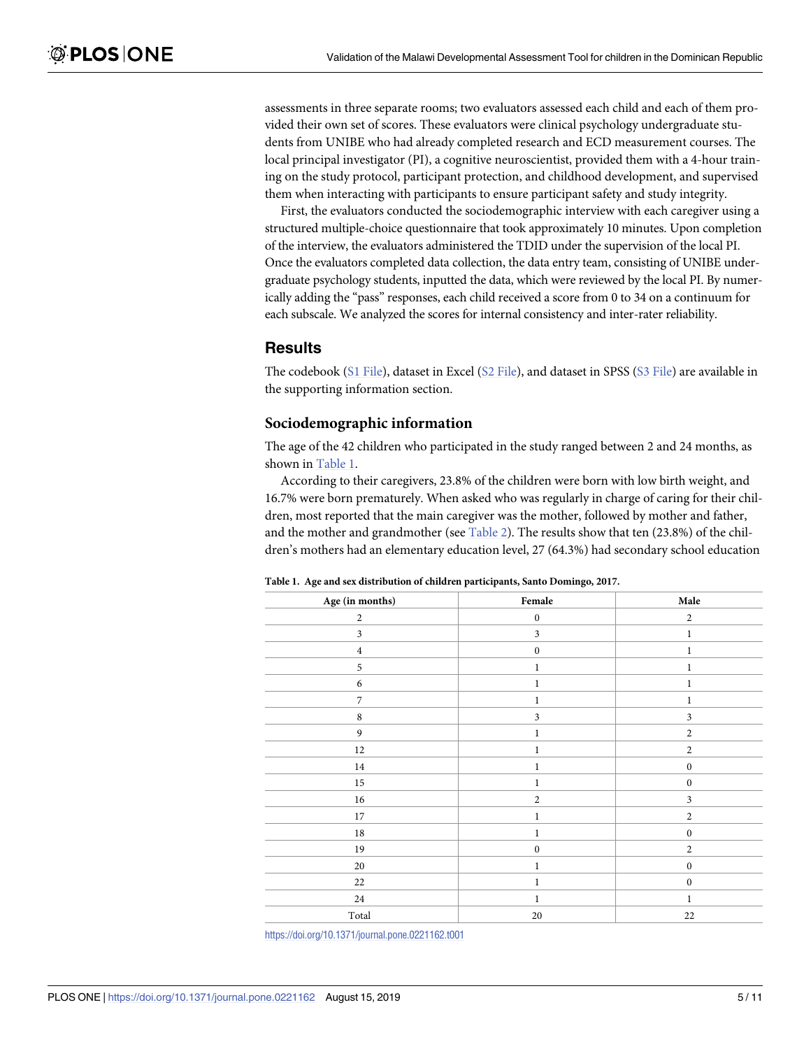<span id="page-4-0"></span>assessments in three separate rooms; two evaluators assessed each child and each of them provided their own set of scores. These evaluators were clinical psychology undergraduate students from UNIBE who had already completed research and ECD measurement courses. The local principal investigator (PI), a cognitive neuroscientist, provided them with a 4-hour training on the study protocol, participant protection, and childhood development, and supervised them when interacting with participants to ensure participant safety and study integrity.

First, the evaluators conducted the sociodemographic interview with each caregiver using a structured multiple-choice questionnaire that took approximately 10 minutes. Upon completion of the interview, the evaluators administered the TDID under the supervision of the local PI. Once the evaluators completed data collection, the data entry team, consisting of UNIBE undergraduate psychology students, inputted the data, which were reviewed by the local PI. By numerically adding the "pass" responses, each child received a score from 0 to 34 on a continuum for each subscale. We analyzed the scores for internal consistency and inter-rater reliability.

# **Results**

The codebook (S1 [File\)](#page-8-0), dataset in Excel (S2 [File](#page-8-0)), and dataset in SPSS (S3 [File\)](#page-8-0) are available in the supporting information section.

#### **Sociodemographic information**

The age of the 42 children who participated in the study ranged between 2 and 24 months, as shown in Table 1.

According to their caregivers, 23.8% of the children were born with low birth weight, and 16.7% were born prematurely. When asked who was regularly in charge of caring for their children, most reported that the main caregiver was the mother, followed by mother and father, and the mother and grandmother (see [Table](#page-5-0) 2). The results show that ten (23.8%) of the children's mothers had an elementary education level, 27 (64.3%) had secondary school education

**Table 1. Age and sex distribution of children participants, Santo Domingo, 2017.**

| Age (in months)             | Female           | $\bf Male$       |
|-----------------------------|------------------|------------------|
| $\sqrt{2}$                  | $\mathbf{0}$     | $\overline{2}$   |
| $\ensuremath{\mathfrak{Z}}$ | $\mathfrak{Z}$   | $\,1$            |
| $\bf{4}$                    | $\boldsymbol{0}$ | $\mathbf{1}$     |
| $\mathfrak s$               | $\,1$            | $\,1\,$          |
| 6                           | $\mathbf{1}$     | $\,1$            |
| $\boldsymbol{7}$            | $\mathbf{1}$     | $\mathbf{1}$     |
| $\,$ 8 $\,$                 | 3                | $\mathfrak{Z}$   |
| 9                           | $\mathbf{1}$     | $\sqrt{2}$       |
| $12\,$                      | $\,1$            | $\sqrt{2}$       |
| 14                          | $\mathbf{1}$     | $\boldsymbol{0}$ |
| $15\,$                      | $\mathbf{1}$     | $\boldsymbol{0}$ |
| $16\,$                      | $\overline{c}$   | $\mathfrak{Z}$   |
| $17\,$                      | $\mathbf{1}$     | $\sqrt{2}$       |
| $18\,$                      | $\,1$            | $\boldsymbol{0}$ |
| 19                          | $\boldsymbol{0}$ | $\sqrt{2}$       |
| $20\,$                      | $\mathbf{1}$     | $\boldsymbol{0}$ |
| $22\,$                      | $\mathbf{1}$     | $\boldsymbol{0}$ |
| 24                          | $\mathbf{1}$     | $\,1$            |
| Total                       | 20               | 22               |

<https://doi.org/10.1371/journal.pone.0221162.t001>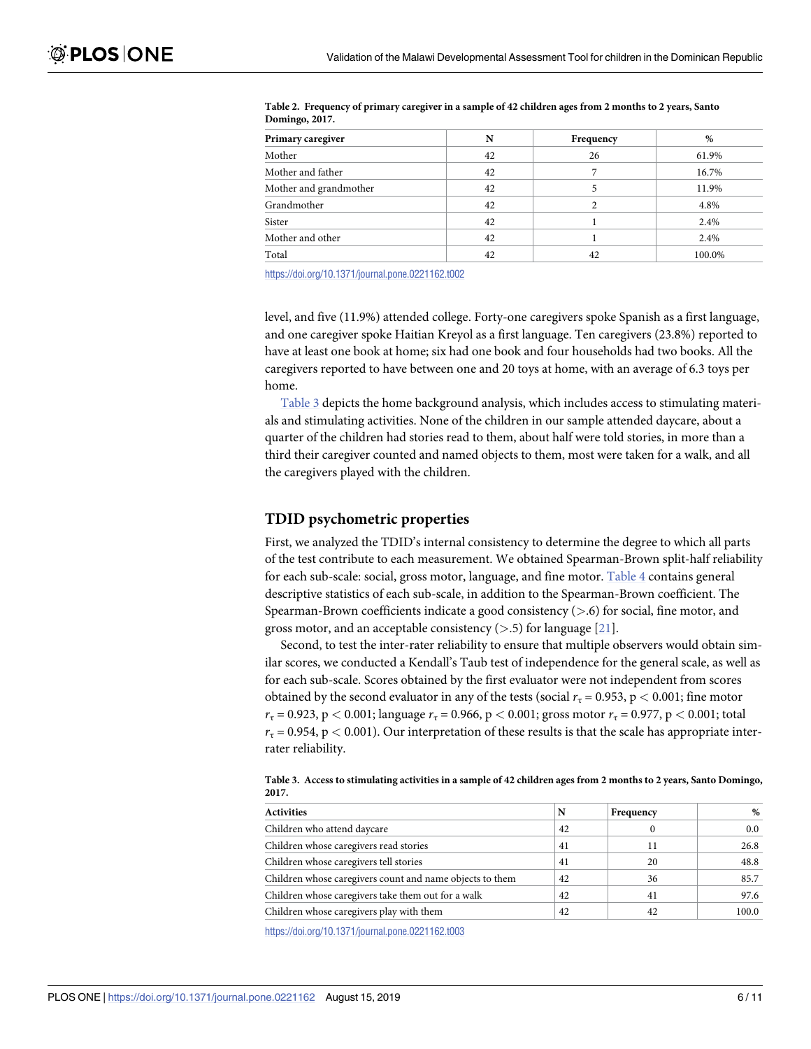| Primary caregiver      | N  | Frequency |        |
|------------------------|----|-----------|--------|
| Mother                 | 42 | 26        | 61.9%  |
| Mother and father      | 42 |           | 16.7%  |
| Mother and grandmother | 42 |           | 11.9%  |
| Grandmother            | 42 |           | 4.8%   |
| Sister                 | 42 |           | 2.4%   |
| Mother and other       | 42 |           | 2.4%   |
| Total                  | 42 | 42        | 100.0% |

<span id="page-5-0"></span>[Table](#page-4-0) 2. Frequency of primary caregiver in a sample of 42 children ages from 2 months to 2 years, Santo **Domingo, 2017.**

<https://doi.org/10.1371/journal.pone.0221162.t002>

level, and five (11.9%) attended college. Forty-one caregivers spoke Spanish as a first language, and one caregiver spoke Haitian Kreyol as a first language. Ten caregivers (23.8%) reported to have at least one book at home; six had one book and four households had two books. All the caregivers reported to have between one and 20 toys at home, with an average of 6.3 toys per home.

Table 3 depicts the home background analysis, which includes access to stimulating materials and stimulating activities. None of the children in our sample attended daycare, about a quarter of the children had stories read to them, about half were told stories, in more than a third their caregiver counted and named objects to them, most were taken for a walk, and all the caregivers played with the children.

#### **TDID psychometric properties**

First, we analyzed the TDID's internal consistency to determine the degree to which all parts of the test contribute to each measurement. We obtained Spearman-Brown split-half reliability for each sub-scale: social, gross motor, language, and fine motor. [Table](#page-6-0) 4 contains general descriptive statistics of each sub-scale, in addition to the Spearman-Brown coefficient. The Spearman-Brown coefficients indicate a good consistency (*>*.6) for social, fine motor, and gross motor, and an acceptable consistency (*>*.5) for language [\[21\]](#page-10-0).

Second, to test the inter-rater reliability to ensure that multiple observers would obtain similar scores, we conducted a Kendall's Taub test of independence for the general scale, as well as for each sub-scale. Scores obtained by the first evaluator were not independent from scores obtained by the second evaluator in any of the tests (social  $r<sub>\tau</sub> = 0.953$ ,  $p < 0.001$ ; fine motor *r*<sup>τ</sup> = 0.923, p *<* 0.001; language *r*<sup>τ</sup> = 0.966, p *<* 0.001; gross motor *r*<sup>τ</sup> = 0.977, p *<* 0.001; total  $r<sub>\tau</sub>$  = 0.954, p < 0.001). Our interpretation of these results is that the scale has appropriate interrater reliability.

| 2017.                                                    |    |           |       |  |  |
|----------------------------------------------------------|----|-----------|-------|--|--|
| <b>Activities</b>                                        | N  | Frequency | $\%$  |  |  |
| Children who attend daycare                              | 42 | 0         | 0.0   |  |  |
| Children whose caregivers read stories                   | 41 | 11        | 26.8  |  |  |
| Children whose caregivers tell stories                   | 41 | 20        | 48.8  |  |  |
| Children whose caregivers count and name objects to them | 42 | 36        | 85.7  |  |  |
| Children whose caregivers take them out for a walk       | 42 | 41        | 97.6  |  |  |
| Children whose caregivers play with them                 | 42 | 42        | 100.0 |  |  |

Table 3. Access to stimulating activities in a sample of 42 children ages from 2 months to 2 years, Santo Domingo, **2017.**

<https://doi.org/10.1371/journal.pone.0221162.t003>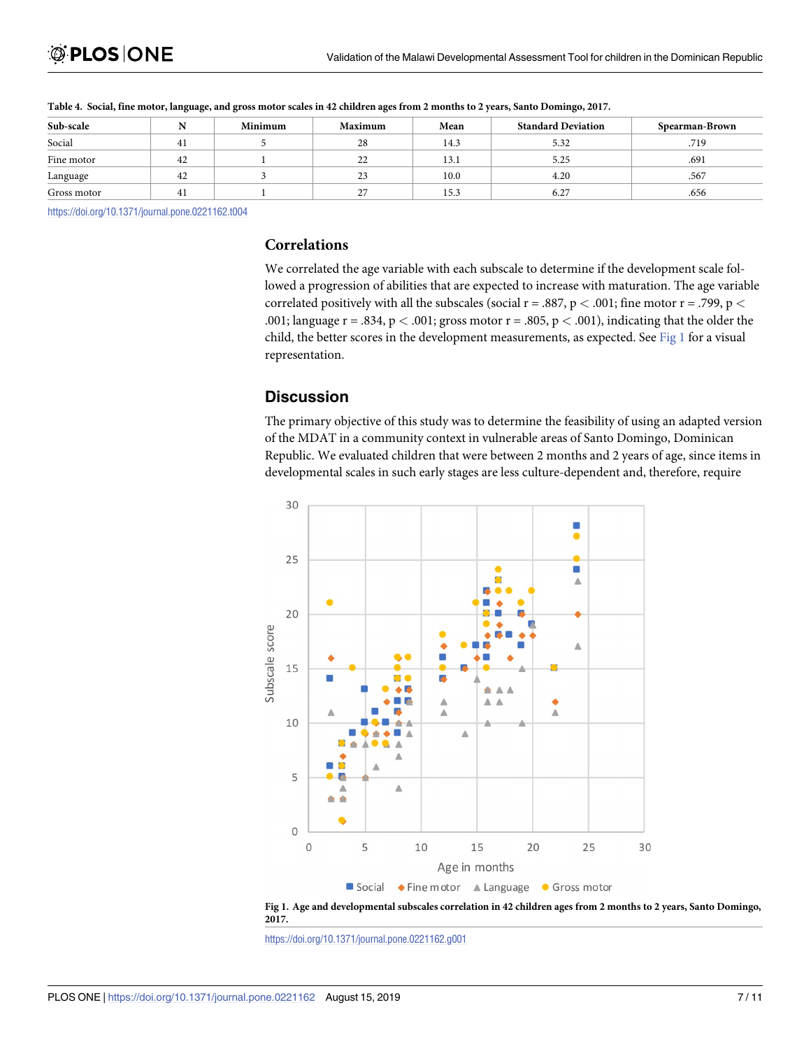| Sub-scale   | $\mathbf{r}$ | Minimum | Maximum       | Mean | <b>Standard Deviation</b> | Spearman-Brown |
|-------------|--------------|---------|---------------|------|---------------------------|----------------|
| Social      | 41           |         | 28            | 14.3 | 5.32                      | .719           |
| Fine motor  | 42           |         | 22            | 13.1 | 5.25                      | .691           |
| Language    | 42           |         | $\sim$<br>-43 | 10.0 | 4.20                      | .567           |
| Gross motor | 41           |         | רר            | 15.3 | 6.27                      | .656           |

<span id="page-6-0"></span>

|  | Table 4. Social, fine motor, language, and gross motor scales in 42 children ages from 2 months to 2 years, Santo Domingo, 2017. |  |  |
|--|----------------------------------------------------------------------------------------------------------------------------------|--|--|
|  |                                                                                                                                  |  |  |

<https://doi.org/10.1371/journal.pone.0221162.t004>

### **Correlations**

We correlated the age variable with each subscale to determine if the development scale followed a progression of abilities that are expected to increase with maturation. The age variable correlated positively with all the subscales (social r = .887, p *<* .001; fine motor r = .799, p *<* .001; language r = .834, p *<* .001; gross motor r = .805, p *<* .001), indicating that the older the child, the better scores in the development measurements, as expected. See Fig 1 for a visual representation.

# **Discussion**

The primary objective of this study was to determine the feasibility of using an adapted version of the MDAT in a community context in vulnerable areas of Santo Domingo, Dominican Republic. We evaluated children that were between 2 months and 2 years of age, since items in developmental scales in such early stages are less culture-dependent and, therefore, require



Fig 1. Age and developmental subscales correlation in 42 children ages from 2 months to 2 years, Santo Domingo, **2017.**

<https://doi.org/10.1371/journal.pone.0221162.g001>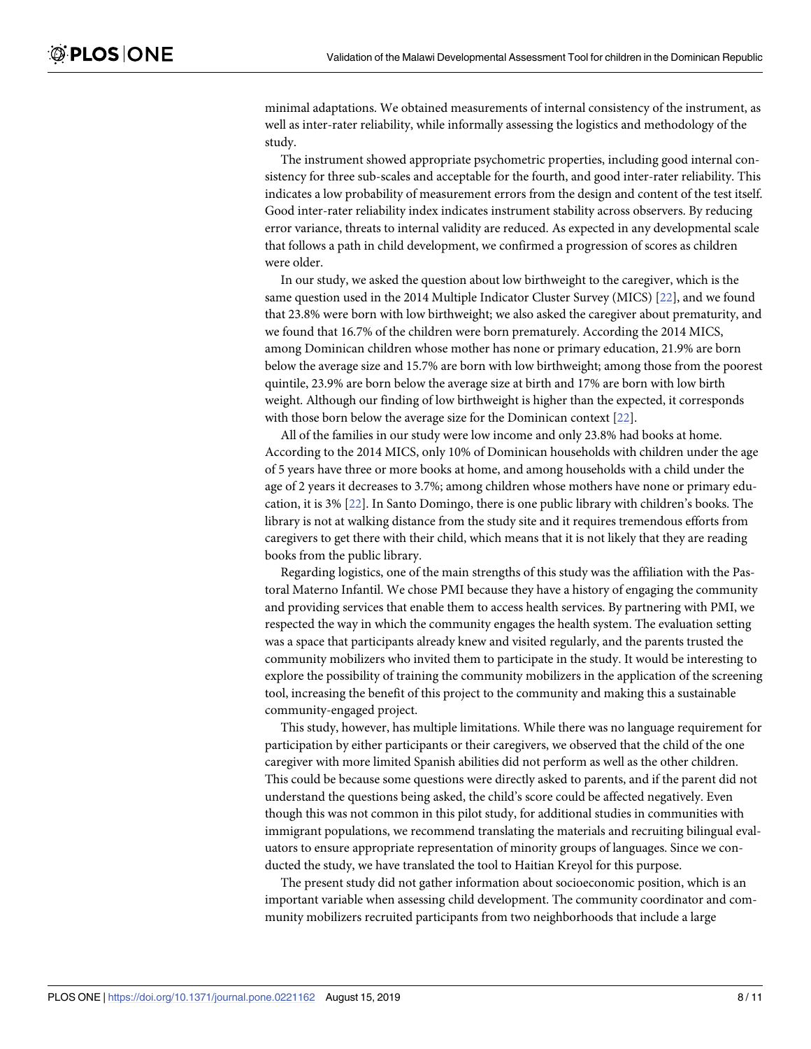<span id="page-7-0"></span>minimal adaptations. We obtained measurements of internal consistency of the instrument, as well as inter-rater reliability, while informally assessing the logistics and methodology of the study.

The instrument showed appropriate psychometric properties, including good internal consistency for three sub-scales and acceptable for the fourth, and good inter-rater reliability. This indicates a low probability of measurement errors from the design and content of the test itself. Good inter-rater reliability index indicates instrument stability across observers. By reducing error variance, threats to internal validity are reduced. As expected in any developmental scale that follows a path in child development, we confirmed a progression of scores as children were older.

In our study, we asked the question about low birthweight to the caregiver, which is the same question used in the 2014 Multiple Indicator Cluster Survey (MICS) [\[22\]](#page-10-0), and we found that 23.8% were born with low birthweight; we also asked the caregiver about prematurity, and we found that 16.7% of the children were born prematurely. According the 2014 MICS, among Dominican children whose mother has none or primary education, 21.9% are born below the average size and 15.7% are born with low birthweight; among those from the poorest quintile, 23.9% are born below the average size at birth and 17% are born with low birth weight. Although our finding of low birthweight is higher than the expected, it corresponds with those born below the average size for the Dominican context [\[22\]](#page-10-0).

All of the families in our study were low income and only 23.8% had books at home. According to the 2014 MICS, only 10% of Dominican households with children under the age of 5 years have three or more books at home, and among households with a child under the age of 2 years it decreases to 3.7%; among children whose mothers have none or primary education, it is 3% [[22\]](#page-10-0). In Santo Domingo, there is one public library with children's books. The library is not at walking distance from the study site and it requires tremendous efforts from caregivers to get there with their child, which means that it is not likely that they are reading books from the public library.

Regarding logistics, one of the main strengths of this study was the affiliation with the Pastoral Materno Infantil. We chose PMI because they have a history of engaging the community and providing services that enable them to access health services. By partnering with PMI, we respected the way in which the community engages the health system. The evaluation setting was a space that participants already knew and visited regularly, and the parents trusted the community mobilizers who invited them to participate in the study. It would be interesting to explore the possibility of training the community mobilizers in the application of the screening tool, increasing the benefit of this project to the community and making this a sustainable community-engaged project.

This study, however, has multiple limitations. While there was no language requirement for participation by either participants or their caregivers, we observed that the child of the one caregiver with more limited Spanish abilities did not perform as well as the other children. This could be because some questions were directly asked to parents, and if the parent did not understand the questions being asked, the child's score could be affected negatively. Even though this was not common in this pilot study, for additional studies in communities with immigrant populations, we recommend translating the materials and recruiting bilingual evaluators to ensure appropriate representation of minority groups of languages. Since we conducted the study, we have translated the tool to Haitian Kreyol for this purpose.

The present study did not gather information about socioeconomic position, which is an important variable when assessing child development. The community coordinator and community mobilizers recruited participants from two neighborhoods that include a large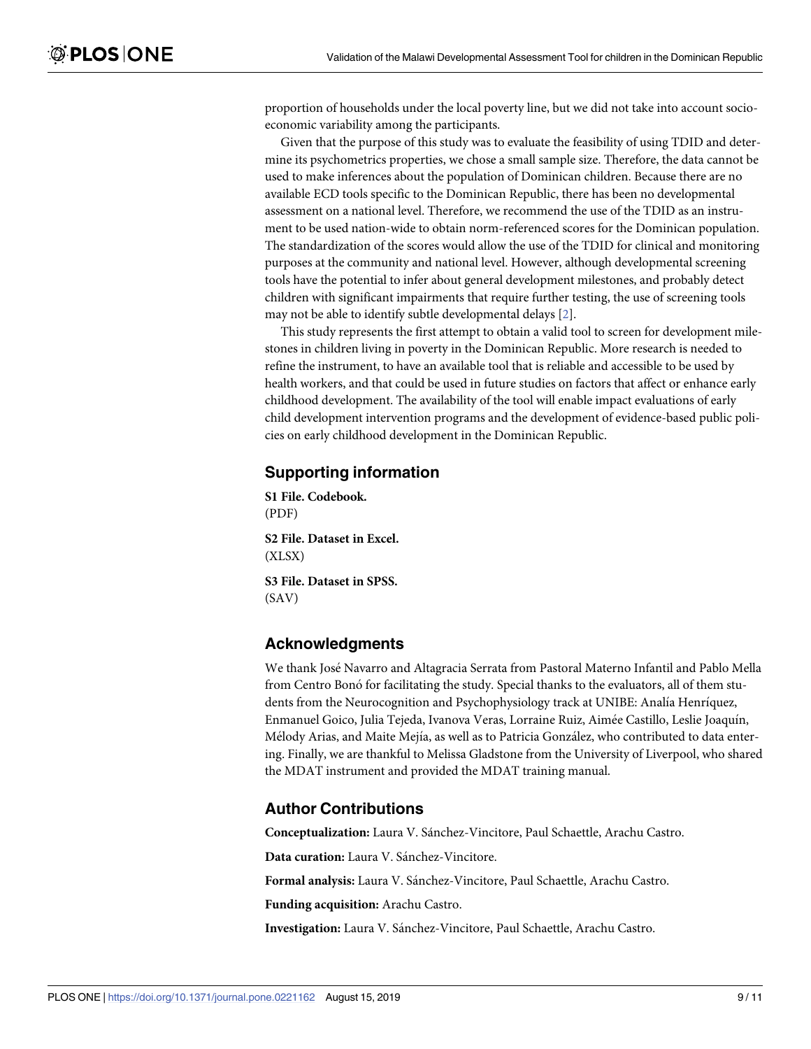<span id="page-8-0"></span>proportion of households under the local poverty line, but we did not take into account socioeconomic variability among the participants.

Given that the purpose of this study was to evaluate the feasibility of using TDID and determine its psychometrics properties, we chose a small sample size. Therefore, the data cannot be used to make inferences about the population of Dominican children. Because there are no available ECD tools specific to the Dominican Republic, there has been no developmental assessment on a national level. Therefore, we recommend the use of the TDID as an instrument to be used nation-wide to obtain norm-referenced scores for the Dominican population. The standardization of the scores would allow the use of the TDID for clinical and monitoring purposes at the community and national level. However, although developmental screening tools have the potential to infer about general development milestones, and probably detect children with significant impairments that require further testing, the use of screening tools may not be able to identify subtle developmental delays [[2\]](#page-9-0).

This study represents the first attempt to obtain a valid tool to screen for development milestones in children living in poverty in the Dominican Republic. More research is needed to refine the instrument, to have an available tool that is reliable and accessible to be used by health workers, and that could be used in future studies on factors that affect or enhance early childhood development. The availability of the tool will enable impact evaluations of early child development intervention programs and the development of evidence-based public policies on early childhood development in the Dominican Republic.

# **Supporting information**

**S1 [File.](http://www.plosone.org/article/fetchSingleRepresentation.action?uri=info:doi/10.1371/journal.pone.0221162.s001) Codebook.** (PDF) **S2 [File.](http://www.plosone.org/article/fetchSingleRepresentation.action?uri=info:doi/10.1371/journal.pone.0221162.s002) Dataset in Excel.** (XLSX)

**S3 [File.](http://www.plosone.org/article/fetchSingleRepresentation.action?uri=info:doi/10.1371/journal.pone.0221162.s003) Dataset in SPSS.** (SAV)

# **Acknowledgments**

We thank José Navarro and Altagracia Serrata from Pastoral Materno Infantil and Pablo Mella from Centro Bonó for facilitating the study. Special thanks to the evaluators, all of them students from the Neurocognition and Psychophysiology track at UNIBE: Analía Henríquez, Enmanuel Goico, Julia Tejeda, Ivanova Veras, Lorraine Ruiz, Aimée Castillo, Leslie Joaquín, Mélody Arias, and Maite Mejía, as well as to Patricia González, who contributed to data entering. Finally, we are thankful to Melissa Gladstone from the University of Liverpool, who shared the MDAT instrument and provided the MDAT training manual.

#### **Author Contributions**

**Conceptualization:** Laura V. Sánchez-Vincitore, Paul Schaettle, Arachu Castro.

**Data curation:** Laura V. Sánchez-Vincitore.

Formal analysis: Laura V. Sánchez-Vincitore, Paul Schaettle, Arachu Castro.

**Funding acquisition:** Arachu Castro.

Investigation: Laura V. Sánchez-Vincitore, Paul Schaettle, Arachu Castro.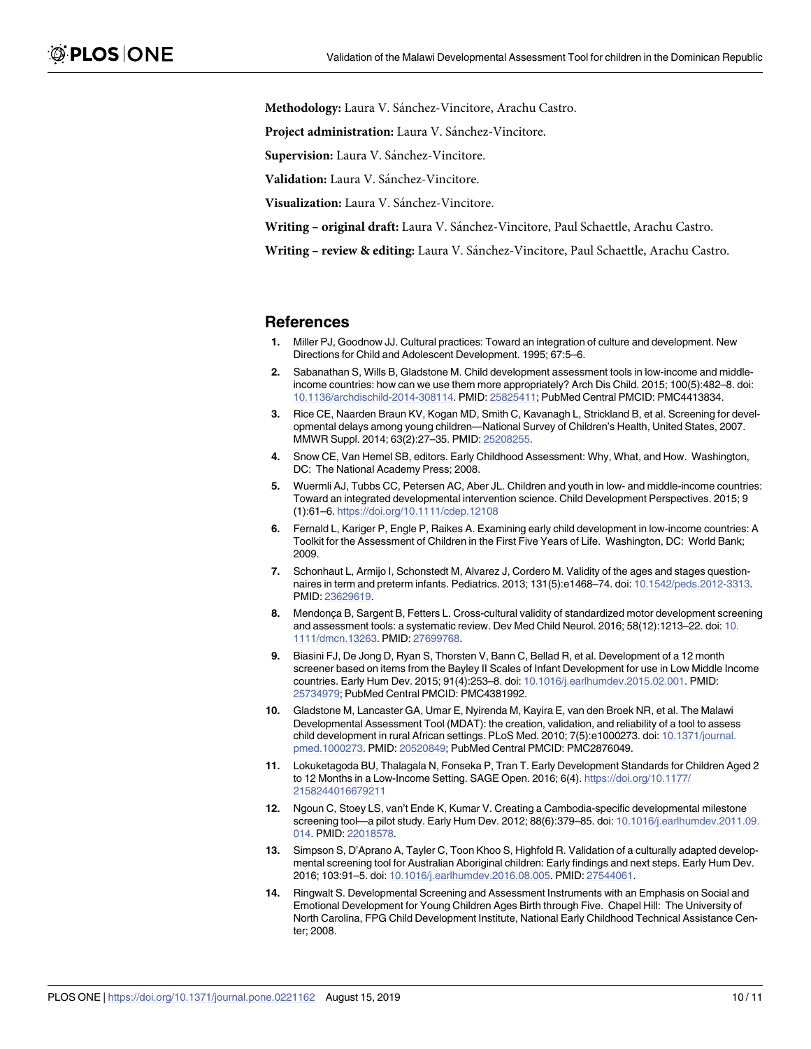<span id="page-9-0"></span>Methodology: Laura V. Sánchez-Vincitore, Arachu Castro.

**Project administration:** Laura V. Sánchez-Vincitore.

**Supervision:** Laura V. Sánchez-Vincitore.

**Validation:** Laura V. Sánchez-Vincitore.

**Visualization:** Laura V. Sánchez-Vincitore.

**Writing – original draft:** Laura V. Sa´nchez-Vincitore, Paul Schaettle, Arachu Castro.

**Writing – review & editing:** Laura V. Sa´nchez-Vincitore, Paul Schaettle, Arachu Castro.

#### **References**

- **[1](#page-1-0).** Miller PJ, Goodnow JJ. Cultural practices: Toward an integration of culture and development. New Directions for Child and Adolescent Development. 1995; 67:5–6.
- **[2](#page-1-0).** Sabanathan S, Wills B, Gladstone M. Child development assessment tools in low-income and middleincome countries: how can we use them more appropriately? Arch Dis Child. 2015; 100(5):482–8. doi: [10.1136/archdischild-2014-308114](https://doi.org/10.1136/archdischild-2014-308114). PMID: [25825411](http://www.ncbi.nlm.nih.gov/pubmed/25825411); PubMed Central PMCID: PMC4413834.
- **[3](#page-1-0).** Rice CE, Naarden Braun KV, Kogan MD, Smith C, Kavanagh L, Strickland B, et al. Screening for developmental delays among young children—National Survey of Children's Health, United States, 2007. MMWR Suppl. 2014; 63(2):27–35. PMID: [25208255](http://www.ncbi.nlm.nih.gov/pubmed/25208255).
- **[4](#page-1-0).** Snow CE, Van Hemel SB, editors. Early Childhood Assessment: Why, What, and How. Washington, DC: The National Academy Press; 2008.
- **[5](#page-1-0).** Wuermli AJ, Tubbs CC, Petersen AC, Aber JL. Children and youth in low- and middle-income countries: Toward an integrated developmental intervention science. Child Development Perspectives. 2015; 9 (1):61–6. <https://doi.org/10.1111/cdep.12108>
- **[6](#page-1-0).** Fernald L, Kariger P, Engle P, Raikes A. Examining early child development in low-income countries: A Toolkit for the Assessment of Children in the First Five Years of Life. Washington, DC: World Bank; 2009.
- **[7](#page-1-0).** Schonhaut L, Armijo I, Schonstedt M, Alvarez J, Cordero M. Validity of the ages and stages questionnaires in term and preterm infants. Pediatrics. 2013; 131(5):e1468–74. doi: [10.1542/peds.2012-3313](https://doi.org/10.1542/peds.2012-3313). PMID: [23629619](http://www.ncbi.nlm.nih.gov/pubmed/23629619).
- **[8](#page-2-0).** Mendonça B, Sargent B, Fetters L. Cross-cultural validity of standardized motor development screening and assessment tools: a systematic review. Dev Med Child Neurol. 2016; 58(12):1213–22. doi: [10.](https://doi.org/10.1111/dmcn.13263) [1111/dmcn.13263](https://doi.org/10.1111/dmcn.13263). PMID: [27699768](http://www.ncbi.nlm.nih.gov/pubmed/27699768).
- **[9](#page-2-0).** Biasini FJ, De Jong D, Ryan S, Thorsten V, Bann C, Bellad R, et al. Development of a 12 month screener based on items from the Bayley II Scales of Infant Development for use in Low Middle Income countries. Early Hum Dev. 2015; 91(4):253–8. doi: [10.1016/j.earlhumdev.2015.02.001](https://doi.org/10.1016/j.earlhumdev.2015.02.001). PMID: [25734979](http://www.ncbi.nlm.nih.gov/pubmed/25734979); PubMed Central PMCID: PMC4381992.
- **[10](#page-2-0).** Gladstone M, Lancaster GA, Umar E, Nyirenda M, Kayira E, van den Broek NR, et al. The Malawi Developmental Assessment Tool (MDAT): the creation, validation, and reliability of a tool to assess child development in rural African settings. PLoS Med. 2010; 7(5):e1000273. doi: [10.1371/journal.](https://doi.org/10.1371/journal.pmed.1000273) [pmed.1000273.](https://doi.org/10.1371/journal.pmed.1000273) PMID: [20520849;](http://www.ncbi.nlm.nih.gov/pubmed/20520849) PubMed Central PMCID: PMC2876049.
- **[11](#page-2-0).** Lokuketagoda BU, Thalagala N, Fonseka P, Tran T. Early Development Standards for Children Aged 2 to 12 Months in a Low-Income Setting. SAGE Open. 2016; 6(4). [https://doi.org/10.1177/](https://doi.org/10.1177/2158244016679211) [2158244016679211](https://doi.org/10.1177/2158244016679211)
- **[12](#page-2-0).** Ngoun C, Stoey LS, van't Ende K, Kumar V. Creating a Cambodia-specific developmental milestone screening tool—a pilot study. Early Hum Dev. 2012; 88(6):379–85. doi: [10.1016/j.earlhumdev.2011.09.](https://doi.org/10.1016/j.earlhumdev.2011.09.014) [014.](https://doi.org/10.1016/j.earlhumdev.2011.09.014) PMID: [22018578](http://www.ncbi.nlm.nih.gov/pubmed/22018578).
- **[13](#page-2-0).** Simpson S, D'Aprano A, Tayler C, Toon Khoo S, Highfold R. Validation of a culturally adapted developmental screening tool for Australian Aboriginal children: Early findings and next steps. Early Hum Dev. 2016; 103:91–5. doi: [10.1016/j.earlhumdev.2016.08.005](https://doi.org/10.1016/j.earlhumdev.2016.08.005). PMID: [27544061](http://www.ncbi.nlm.nih.gov/pubmed/27544061).
- **[14](#page-2-0).** Ringwalt S. Developmental Screening and Assessment Instruments with an Emphasis on Social and Emotional Development for Young Children Ages Birth through Five. Chapel Hill: The University of North Carolina, FPG Child Development Institute, National Early Childhood Technical Assistance Center; 2008.